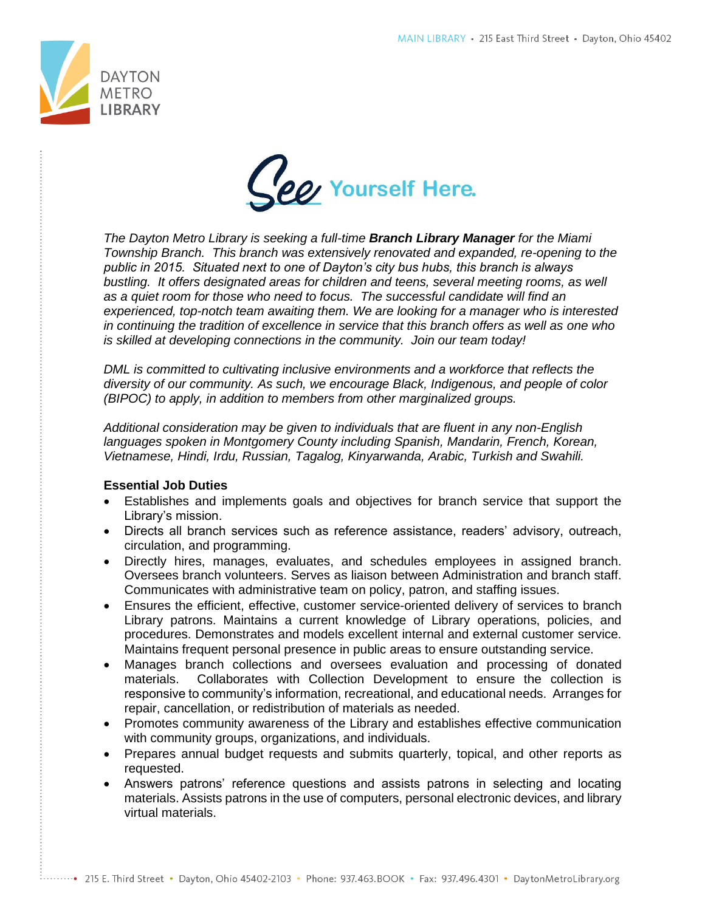



*The Dayton Metro Library is seeking a full-time Branch Library Manager for the Miami Township Branch. This branch was extensively renovated and expanded, re-opening to the public in 2015. Situated next to one of Dayton's city bus hubs, this branch is always bustling. It offers designated areas for children and teens, several meeting rooms, as well as a quiet room for those who need to focus. The successful candidate will find an experienced, top-notch team awaiting them. We are looking for a manager who is interested in continuing the tradition of excellence in service that this branch offers as well as one who is skilled at developing connections in the community. Join our team today!* 

*DML is committed to cultivating inclusive environments and a workforce that reflects the diversity of our community. As such, we encourage Black, Indigenous, and people of color (BIPOC) to apply, in addition to members from other marginalized groups.* 

*Additional consideration may be given to individuals that are fluent in any non-English languages spoken in Montgomery County including Spanish, Mandarin, French, Korean, Vietnamese, Hindi, Irdu, Russian, Tagalog, Kinyarwanda, Arabic, Turkish and Swahili.*

## **Essential Job Duties**

- Establishes and implements goals and objectives for branch service that support the Library's mission.
- Directs all branch services such as reference assistance, readers' advisory, outreach, circulation, and programming.
- Directly hires, manages, evaluates, and schedules employees in assigned branch. Oversees branch volunteers. Serves as liaison between Administration and branch staff. Communicates with administrative team on policy, patron, and staffing issues.
- Ensures the efficient, effective, customer service-oriented delivery of services to branch Library patrons. Maintains a current knowledge of Library operations, policies, and procedures. Demonstrates and models excellent internal and external customer service. Maintains frequent personal presence in public areas to ensure outstanding service.
- Manages branch collections and oversees evaluation and processing of donated materials. Collaborates with Collection Development to ensure the collection is responsive to community's information, recreational, and educational needs. Arranges for repair, cancellation, or redistribution of materials as needed.
- Promotes community awareness of the Library and establishes effective communication with community groups, organizations, and individuals.
- Prepares annual budget requests and submits quarterly, topical, and other reports as requested.
- Answers patrons' reference questions and assists patrons in selecting and locating materials. Assists patrons in the use of computers, personal electronic devices, and library virtual materials.